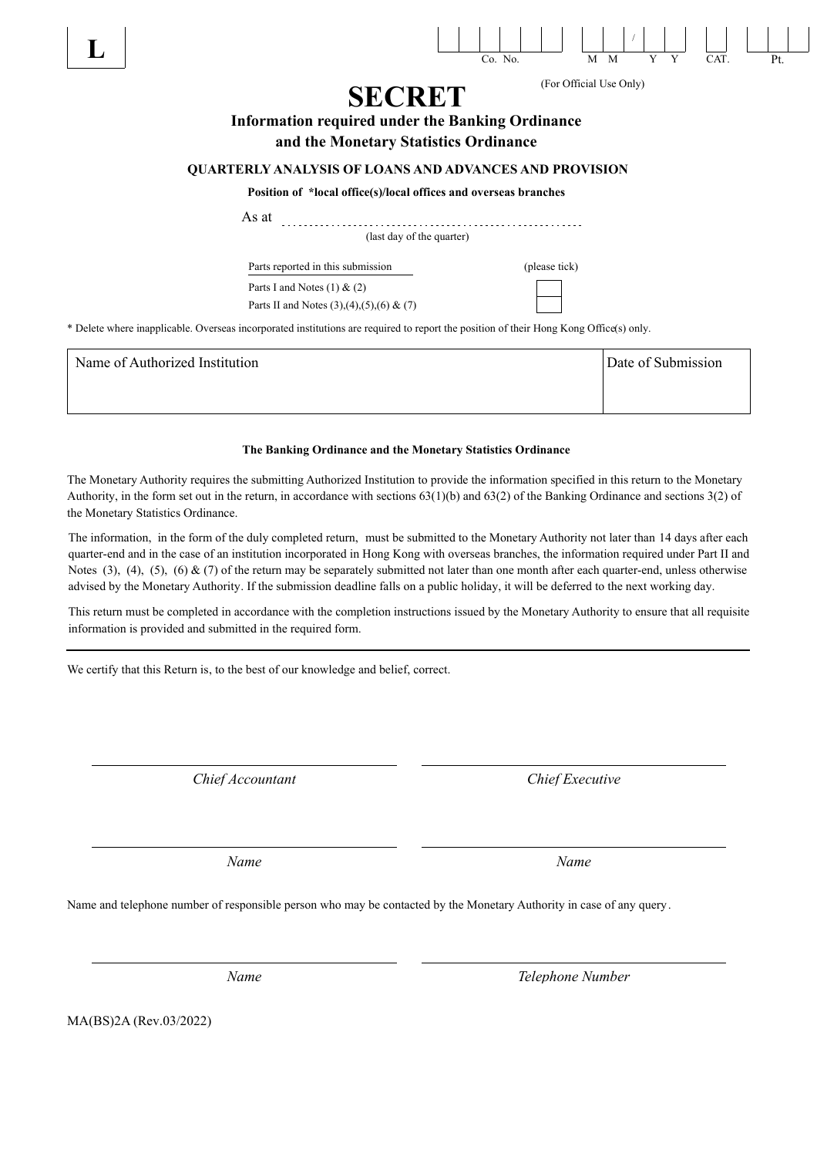

### **The Banking Ordinance and the Monetary Statistics Ordinance**

The Monetary Authority requires the submitting Authorized Institution to provide the information specified in this return to the Monetary Authority, in the form set out in the return, in accordance with sections 63(1)(b) and 63(2) of the Banking Ordinance and sections 3(2) of the Monetary Statistics Ordinance.

The information, in the form of the duly completed return, must be submitted to the Monetary Authority not later than 14 days after each quarter-end and in the case of an institution incorporated in Hong Kong with overseas branches, the information required under Part II and Notes (3), (4), (5), (6)  $\&$  (7) of the return may be separately submitted not later than one month after each quarter-end, unless otherwise advised by the Monetary Authority. If the submission deadline falls on a public holiday, it will be deferred to the next working day.

This return must be completed in accordance with the completion instructions issued by the Monetary Authority to ensure that all requisite information is provided and submitted in the required form.

We certify that this Return is, to the best of our knowledge and belief, correct.

*Chief Accountant Chief Executive*

*Name Name*

Name and telephone number of responsible person who may be contacted by the Monetary Authority in case of any query.

*Name Telephone Number*

MA(BS)2A (Rev.03/2022)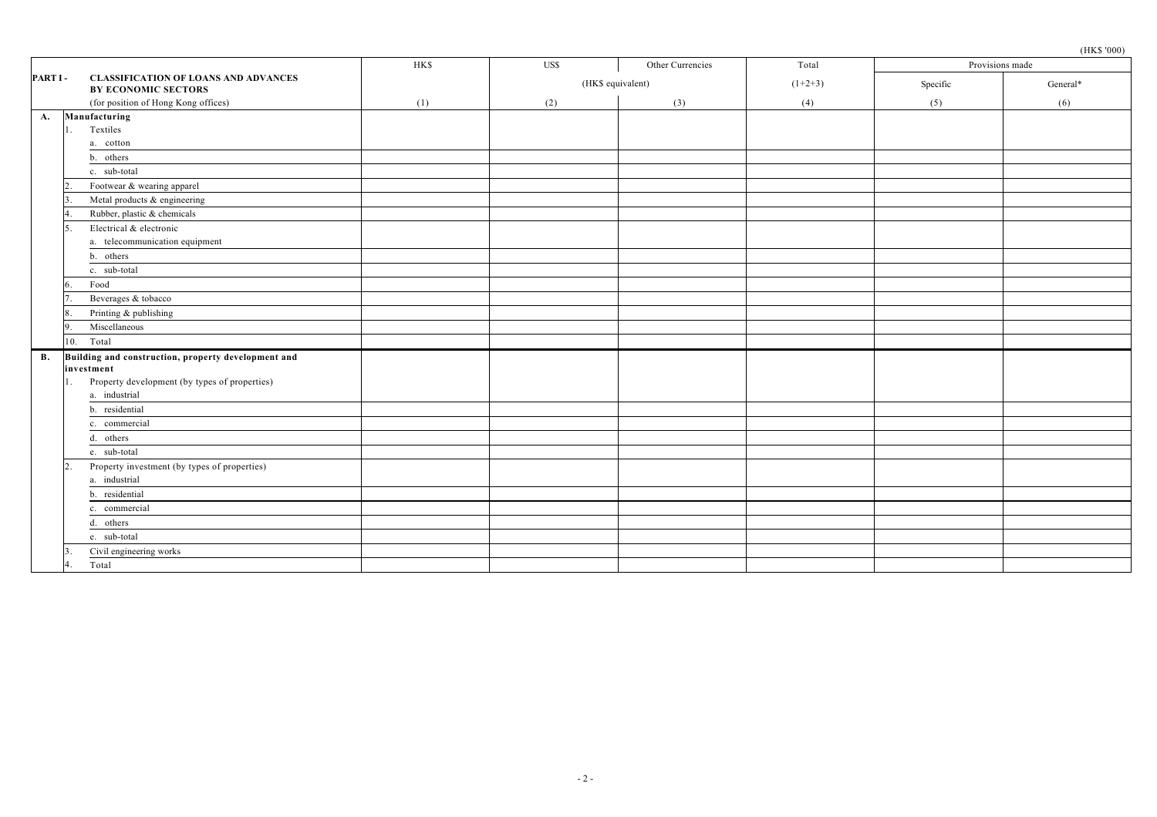|           |                 | (HK\$'000) |  |  |  |  |
|-----------|-----------------|------------|--|--|--|--|
| Total     | Provisions made |            |  |  |  |  |
| $(1+2+3)$ | Specific        | General*   |  |  |  |  |
|           |                 | n          |  |  |  |  |
|           |                 |            |  |  |  |  |

| PART I -  | <b>CLASSIFICATION OF LOANS AND ADVANCES</b><br><b>BY ECONOMIC SECTORS</b> |     | (HK\$ equivalent) |     | $(1+2+3)$ | Specific | General* |
|-----------|---------------------------------------------------------------------------|-----|-------------------|-----|-----------|----------|----------|
|           | (for position of Hong Kong offices)                                       | (1) | (2)               | (3) | (4)       | (5)      | (6)      |
| A.        | Manufacturing                                                             |     |                   |     |           |          |          |
|           | Textiles                                                                  |     |                   |     |           |          |          |
|           | a. cotton                                                                 |     |                   |     |           |          |          |
|           | b. others                                                                 |     |                   |     |           |          |          |
|           | c. sub-total                                                              |     |                   |     |           |          |          |
|           | Footwear & wearing apparel                                                |     |                   |     |           |          |          |
|           | Metal products & engineering                                              |     |                   |     |           |          |          |
|           | Rubber, plastic & chemicals                                               |     |                   |     |           |          |          |
|           | Electrical & electronic                                                   |     |                   |     |           |          |          |
|           | a. telecommunication equipment                                            |     |                   |     |           |          |          |
|           | b. others                                                                 |     |                   |     |           |          |          |
|           | c. sub-total                                                              |     |                   |     |           |          |          |
|           | Food                                                                      |     |                   |     |           |          |          |
|           | Beverages & tobacco                                                       |     |                   |     |           |          |          |
|           | Printing & publishing                                                     |     |                   |     |           |          |          |
|           | Miscellaneous                                                             |     |                   |     |           |          |          |
| 10.       | Total                                                                     |     |                   |     |           |          |          |
| <b>B.</b> | Building and construction, property development and                       |     |                   |     |           |          |          |
|           | investment                                                                |     |                   |     |           |          |          |
|           | Property development (by types of properties)                             |     |                   |     |           |          |          |
|           | a. industrial                                                             |     |                   |     |           |          |          |
|           | b. residential                                                            |     |                   |     |           |          |          |
|           | c. commercial                                                             |     |                   |     |           |          |          |
|           | d. others                                                                 |     |                   |     |           |          |          |
|           | e. sub-total                                                              |     |                   |     |           |          |          |
|           | Property investment (by types of properties)                              |     |                   |     |           |          |          |
|           | a. industrial                                                             |     |                   |     |           |          |          |
|           | b. residential                                                            |     |                   |     |           |          |          |
|           | c. commercial                                                             |     |                   |     |           |          |          |
|           | d. others                                                                 |     |                   |     |           |          |          |
|           | e. sub-total                                                              |     |                   |     |           |          |          |
|           | Civil engineering works                                                   |     |                   |     |           |          |          |
|           | Total                                                                     |     |                   |     |           |          |          |

HK\$ US\$ Other Currencies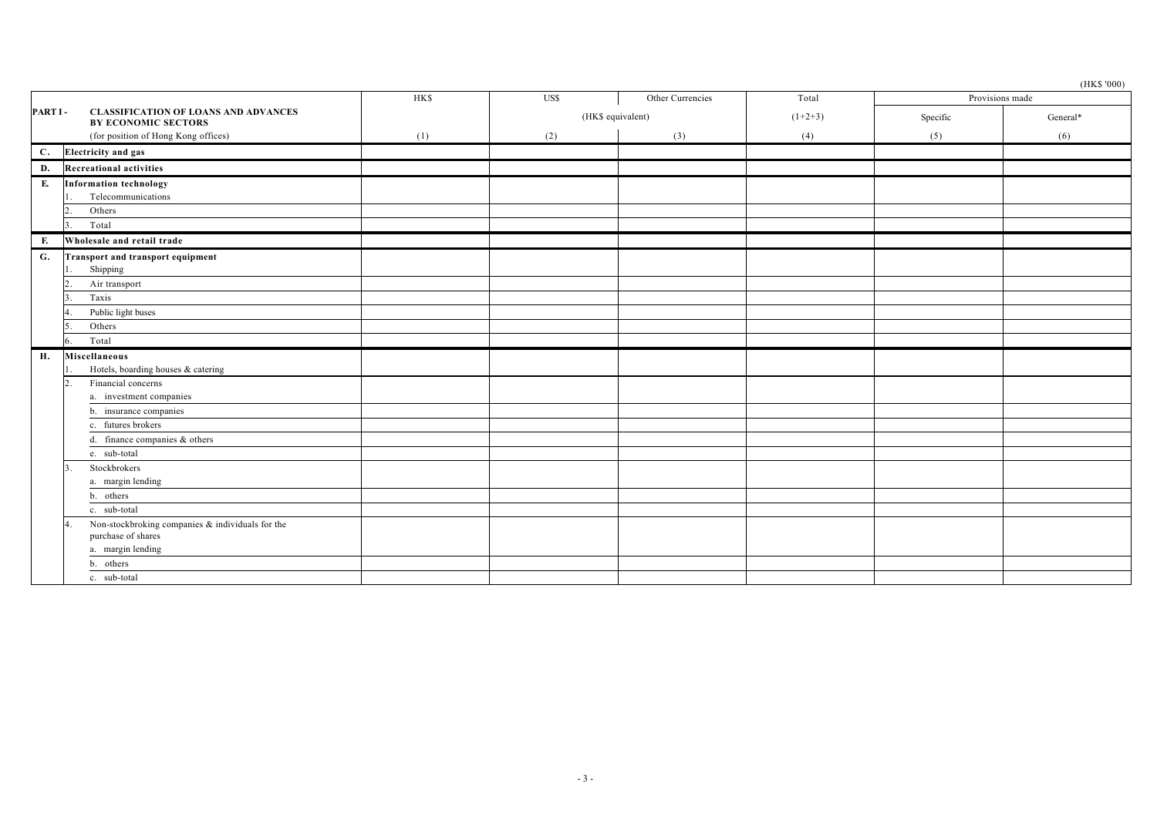|         |                                                                                             |            |                   |                  |           |          | $(\mbox{HKS~'000})$ |
|---------|---------------------------------------------------------------------------------------------|------------|-------------------|------------------|-----------|----------|---------------------|
|         |                                                                                             | <b>HKS</b> | US\$              | Other Currencies | Total     |          | Provisions made     |
| PART I- | <b>CLASSIFICATION OF LOANS AND ADVANCES</b><br><b>BY ECONOMIC SECTORS</b>                   |            | (HK\$ equivalent) |                  | $(1+2+3)$ | Specific | General*            |
|         | (for position of Hong Kong offices)                                                         | (1)        | (2)               | (3)              | (4)       | (5)      | (6)                 |
| С.      | <b>Electricity</b> and gas                                                                  |            |                   |                  |           |          |                     |
| D.      | <b>Recreational activities</b>                                                              |            |                   |                  |           |          |                     |
| Е.      | <b>Information technology</b><br>Telecommunications                                         |            |                   |                  |           |          |                     |
|         | Others                                                                                      |            |                   |                  |           |          |                     |
|         | Total                                                                                       |            |                   |                  |           |          |                     |
| Е.      | Wholesale and retail trade                                                                  |            |                   |                  |           |          |                     |
| G.      | Transport and transport equipment<br>Shipping                                               |            |                   |                  |           |          |                     |
|         | Air transport                                                                               |            |                   |                  |           |          |                     |
|         | Taxis                                                                                       |            |                   |                  |           |          |                     |
|         | Public light buses                                                                          |            |                   |                  |           |          |                     |
|         | Others                                                                                      |            |                   |                  |           |          |                     |
|         | Total                                                                                       |            |                   |                  |           |          |                     |
| Н.      | Miscellaneous<br>Hotels, boarding houses & catering                                         |            |                   |                  |           |          |                     |
|         | Financial concerns<br>a. investment companies                                               |            |                   |                  |           |          |                     |
|         | b. insurance companies                                                                      |            |                   |                  |           |          |                     |
|         | c. futures brokers                                                                          |            |                   |                  |           |          |                     |
|         | d. finance companies & others                                                               |            |                   |                  |           |          |                     |
|         | e. sub-total                                                                                |            |                   |                  |           |          |                     |
|         | Stockbrokers<br>a. margin lending                                                           |            |                   |                  |           |          |                     |
|         | b. others                                                                                   |            |                   |                  |           |          |                     |
|         | c. sub-total                                                                                |            |                   |                  |           |          |                     |
|         | Non-stockbroking companies & individuals for the<br>purchase of shares<br>a. margin lending |            |                   |                  |           |          |                     |
|         | b. others                                                                                   |            |                   |                  |           |          |                     |
|         | c. sub-total                                                                                |            |                   |                  |           |          |                     |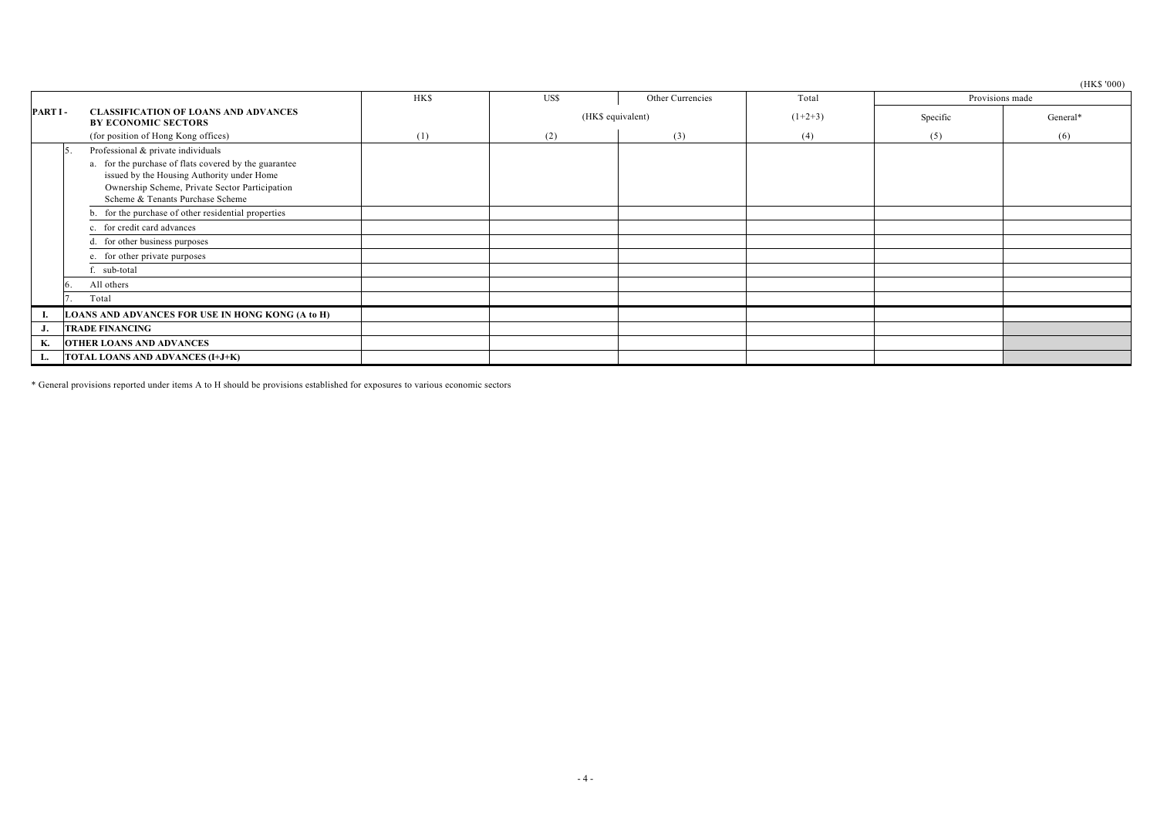(HK\$ '000)

|                 |                                                                                                                                                                                           | <b>HK\$</b> | US\$              | Other Currencies | Total     |     | $\sqrt{2}$<br>Provisions made |
|-----------------|-------------------------------------------------------------------------------------------------------------------------------------------------------------------------------------------|-------------|-------------------|------------------|-----------|-----|-------------------------------|
| <b>PART I -</b> | <b>CLASSIFICATION OF LOANS AND ADVANCES</b><br><b>BY ECONOMIC SECTORS</b>                                                                                                                 |             | (HK\$ equivalent) |                  | $(1+2+3)$ |     | General*                      |
|                 | (for position of Hong Kong offices)                                                                                                                                                       | (1)         | (2)               | (3)              | (4)       | (5) | (6)                           |
|                 | Professional & private individuals<br>Ð                                                                                                                                                   |             |                   |                  |           |     |                               |
|                 | a. for the purchase of flats covered by the guarantee<br>issued by the Housing Authority under Home<br>Ownership Scheme, Private Sector Participation<br>Scheme & Tenants Purchase Scheme |             |                   |                  |           |     |                               |
|                 | b. for the purchase of other residential properties                                                                                                                                       |             |                   |                  |           |     |                               |
|                 | c. for credit card advances                                                                                                                                                               |             |                   |                  |           |     |                               |
|                 | d. for other business purposes                                                                                                                                                            |             |                   |                  |           |     |                               |
|                 | e. for other private purposes                                                                                                                                                             |             |                   |                  |           |     |                               |
|                 | sub-total                                                                                                                                                                                 |             |                   |                  |           |     |                               |
|                 | All others                                                                                                                                                                                |             |                   |                  |           |     |                               |
|                 | Total                                                                                                                                                                                     |             |                   |                  |           |     |                               |
|                 | LOANS AND ADVANCES FOR USE IN HONG KONG (A to H)                                                                                                                                          |             |                   |                  |           |     |                               |
| J.              | <b>TRADE FINANCING</b>                                                                                                                                                                    |             |                   |                  |           |     |                               |
| K.              | <b>OTHER LOANS AND ADVANCES</b>                                                                                                                                                           |             |                   |                  |           |     |                               |
| L.              | TOTAL LOANS AND ADVANCES (I+J+K)                                                                                                                                                          |             |                   |                  |           |     |                               |

\* General provisions reported under items A to H should be provisions established for exposures to various economic sectors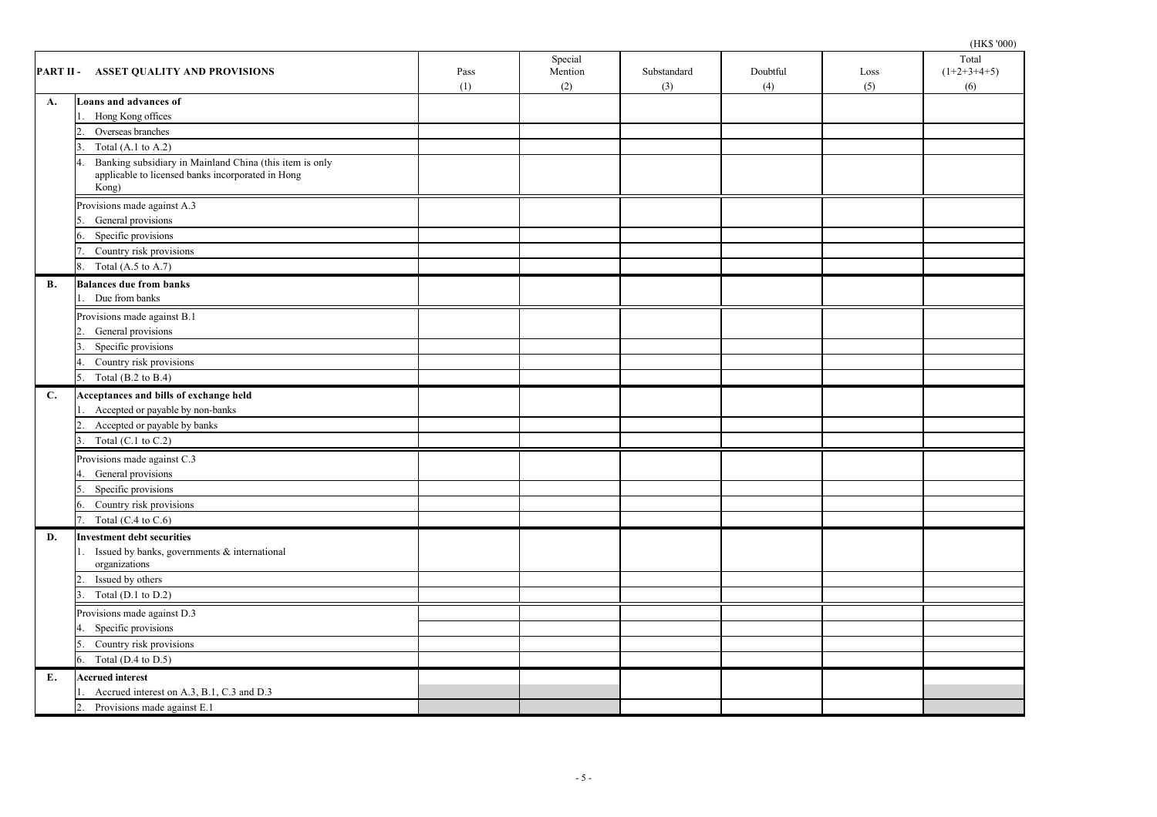|           | PART II - ASSET QUALITY AND PROVISIONS                                                                                |  | Special<br>Mention<br>(2) | Substandard<br>(3) | Doubtful<br>(4) | Loss<br>(5) | Total<br>$(1+2+3+4+5)$<br>(6) |
|-----------|-----------------------------------------------------------------------------------------------------------------------|--|---------------------------|--------------------|-----------------|-------------|-------------------------------|
| A.        | Loans and advances of                                                                                                 |  |                           |                    |                 |             |                               |
|           | Hong Kong offices                                                                                                     |  |                           |                    |                 |             |                               |
|           | Overseas branches                                                                                                     |  |                           |                    |                 |             |                               |
|           | Total $(A.1 \text{ to } A.2)$                                                                                         |  |                           |                    |                 |             |                               |
|           | Banking subsidiary in Mainland China (this item is only<br>applicable to licensed banks incorporated in Hong<br>Kong) |  |                           |                    |                 |             |                               |
|           | Provisions made against A.3                                                                                           |  |                           |                    |                 |             |                               |
|           | General provisions                                                                                                    |  |                           |                    |                 |             |                               |
|           | Specific provisions                                                                                                   |  |                           |                    |                 |             |                               |
|           | Country risk provisions                                                                                               |  |                           |                    |                 |             |                               |
|           | Total (A.5 to A.7)<br>8.                                                                                              |  |                           |                    |                 |             |                               |
| <b>B.</b> | <b>Balances due from banks</b>                                                                                        |  |                           |                    |                 |             |                               |
|           | Due from banks                                                                                                        |  |                           |                    |                 |             |                               |
|           | Provisions made against B.1                                                                                           |  |                           |                    |                 |             |                               |
|           | General provisions                                                                                                    |  |                           |                    |                 |             |                               |
|           | Specific provisions                                                                                                   |  |                           |                    |                 |             |                               |
|           | Country risk provisions<br>4.                                                                                         |  |                           |                    |                 |             |                               |
|           | Total (B.2 to B.4)<br>5.                                                                                              |  |                           |                    |                 |             |                               |
| C.        | Acceptances and bills of exchange held                                                                                |  |                           |                    |                 |             |                               |
|           | Accepted or payable by non-banks                                                                                      |  |                           |                    |                 |             |                               |
|           | Accepted or payable by banks<br>2.                                                                                    |  |                           |                    |                 |             |                               |
|           | Total (C.1 to C.2)                                                                                                    |  |                           |                    |                 |             |                               |
|           | Provisions made against C.3                                                                                           |  |                           |                    |                 |             |                               |
|           | General provisions                                                                                                    |  |                           |                    |                 |             |                               |
|           | Specific provisions                                                                                                   |  |                           |                    |                 |             |                               |
|           | Country risk provisions<br>6.                                                                                         |  |                           |                    |                 |             |                               |
|           | Total (C.4 to C.6)<br>7.                                                                                              |  |                           |                    |                 |             |                               |
| D.        | <b>Investment debt securities</b>                                                                                     |  |                           |                    |                 |             |                               |
|           | Issued by banks, governments & international                                                                          |  |                           |                    |                 |             |                               |
|           | organizations                                                                                                         |  |                           |                    |                 |             |                               |
|           | Issued by others                                                                                                      |  |                           |                    |                 |             |                               |
|           | Total $(D.1$ to $D.2)$                                                                                                |  |                           |                    |                 |             |                               |
|           | Provisions made against D.3                                                                                           |  |                           |                    |                 |             |                               |
|           | 4. Specific provisions                                                                                                |  |                           |                    |                 |             |                               |
|           | Country risk provisions<br>5.                                                                                         |  |                           |                    |                 |             |                               |
|           | 6. Total (D.4 to D.5)                                                                                                 |  |                           |                    |                 |             |                               |
| Е.        | <b>Accrued interest</b>                                                                                               |  |                           |                    |                 |             |                               |
|           | Accrued interest on A.3, B.1, C.3 and D.3                                                                             |  |                           |                    |                 |             |                               |
|           | Provisions made against E.1<br>2.                                                                                     |  |                           |                    |                 |             |                               |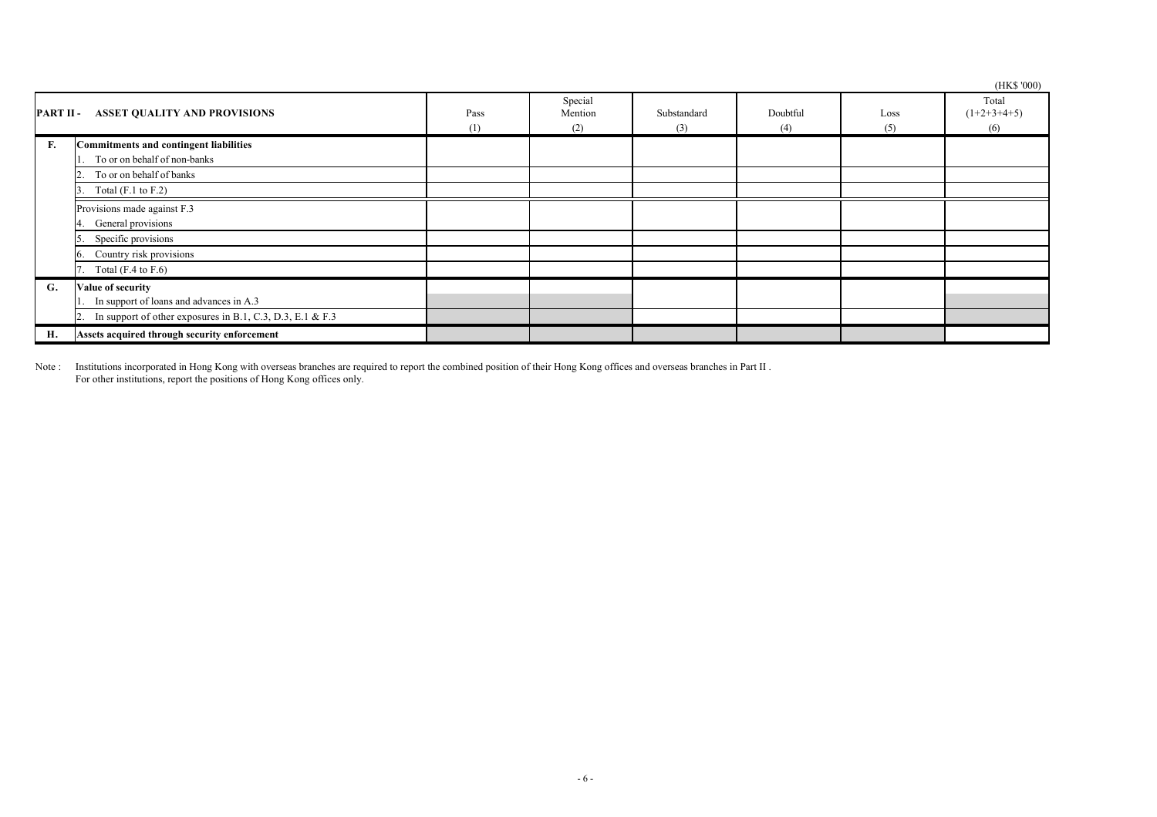|                  |                                                                               |             |                           |                    |                 |             | (HK\$ '000)                   |
|------------------|-------------------------------------------------------------------------------|-------------|---------------------------|--------------------|-----------------|-------------|-------------------------------|
| <b>PART II -</b> | <b>ASSET QUALITY AND PROVISIONS</b>                                           | Pass<br>(1) | Special<br>Mention<br>(2) | Substandard<br>(3) | Doubtful<br>(4) | Loss<br>(5) | Total<br>$(1+2+3+4+5)$<br>(6) |
| F.               | <b>Commitments and contingent liabilities</b><br>To or on behalf of non-banks |             |                           |                    |                 |             |                               |
|                  | To or on behalf of banks                                                      |             |                           |                    |                 |             |                               |
|                  | Total $(F.1)$ to $F.2)$                                                       |             |                           |                    |                 |             |                               |
|                  | Provisions made against F.3<br>General provisions                             |             |                           |                    |                 |             |                               |
|                  | Specific provisions                                                           |             |                           |                    |                 |             |                               |
|                  | Country risk provisions                                                       |             |                           |                    |                 |             |                               |
|                  | Total $(F.4 \text{ to } F.6)$                                                 |             |                           |                    |                 |             |                               |
| G.               | Value of security<br>In support of loans and advances in A.3                  |             |                           |                    |                 |             |                               |
|                  | In support of other exposures in B.1, C.3, D.3, E.1 & F.3                     |             |                           |                    |                 |             |                               |
| Н.               | Assets acquired through security enforcement                                  |             |                           |                    |                 |             |                               |

Note : Institutions incorporated in Hong Kong with overseas branches are required to report the combined position of their Hong Kong offices and overseas branches in Part II . For other institutions, report the positions of Hong Kong offices only.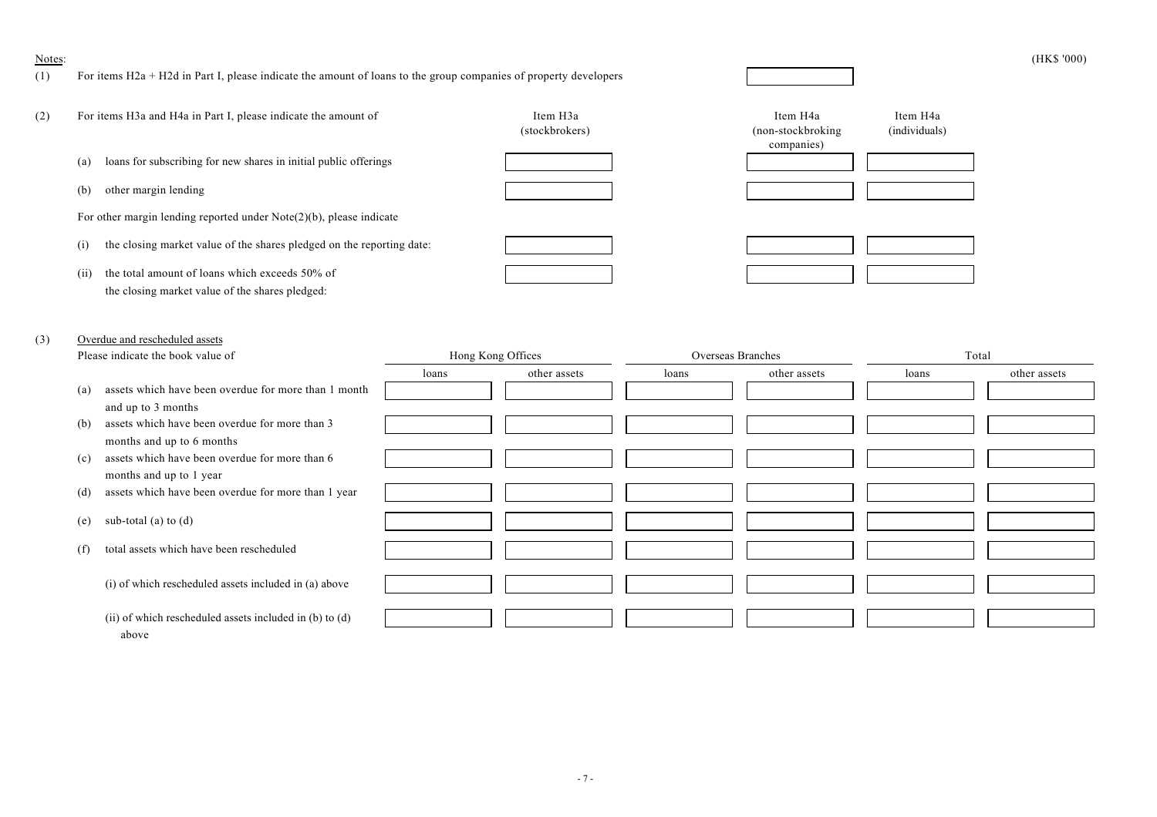#### Notes: (HK\$ '000)

## (1) For items H2a + H2d in Part I, please indicate the amount of loans to the group companies of property developers

| (2) | For items H3a and H4a in Part I, please indicate the amount of                                            | Item H <sub>3a</sub><br>(stockbrokers) | Item H <sub>4</sub> a<br>Item H <sub>4</sub> a<br>(individuals)<br>(non-stockbroking)<br>companies) |
|-----|-----------------------------------------------------------------------------------------------------------|----------------------------------------|-----------------------------------------------------------------------------------------------------|
|     | loans for subscribing for new shares in initial public offerings<br>(a)                                   |                                        |                                                                                                     |
|     | other margin lending<br>(b)                                                                               |                                        |                                                                                                     |
|     | For other margin lending reported under $Note(2)(b)$ , please indicate                                    |                                        |                                                                                                     |
|     | the closing market value of the shares pledged on the reporting date:<br>$\left(1\right)$                 |                                        |                                                                                                     |
|     | (ii)<br>the total amount of loans which exceeds 50% of<br>the closing market value of the shares pledged: |                                        |                                                                                                     |

# (3) Overdue and rescheduled assets

| Please indicate the book value of                           |       | Hong Kong Offices |       | Overseas Branches | Total |              |
|-------------------------------------------------------------|-------|-------------------|-------|-------------------|-------|--------------|
|                                                             | loans | other assets      | loans | other assets      | loans | other assets |
| assets which have been overdue for more than 1 month<br>(a) |       |                   |       |                   |       |              |
| and up to 3 months                                          |       |                   |       |                   |       |              |
| assets which have been overdue for more than 3<br>(b)       |       |                   |       |                   |       |              |
| months and up to 6 months                                   |       |                   |       |                   |       |              |
| assets which have been overdue for more than 6<br>(c)       |       |                   |       |                   |       |              |
| months and up to 1 year                                     |       |                   |       |                   |       |              |
| assets which have been overdue for more than 1 year<br>(d)  |       |                   |       |                   |       |              |
|                                                             |       |                   |       |                   |       |              |
| (e)<br>sub-total (a) to $(d)$                               |       |                   |       |                   |       |              |
| total assets which have been rescheduled<br>(f)             |       |                   |       |                   |       |              |
|                                                             |       |                   |       |                   |       |              |
| (i) of which rescheduled assets included in (a) above       |       |                   |       |                   |       |              |
|                                                             |       |                   |       |                   |       |              |
| (ii) of which rescheduled assets included in (b) to (d)     |       |                   |       |                   |       |              |
| above                                                       |       |                   |       |                   |       |              |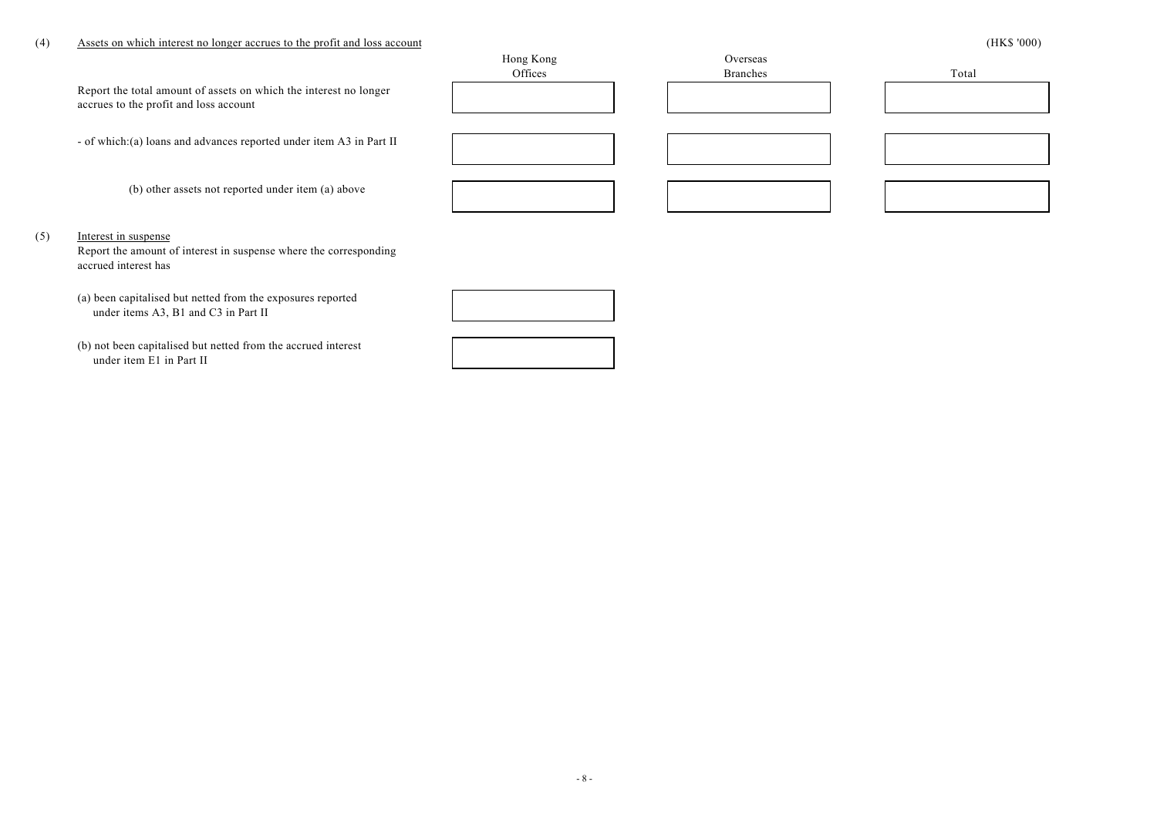## (4) Assets on which interest no longer accrues to the profit and loss account (HK\$ '000)

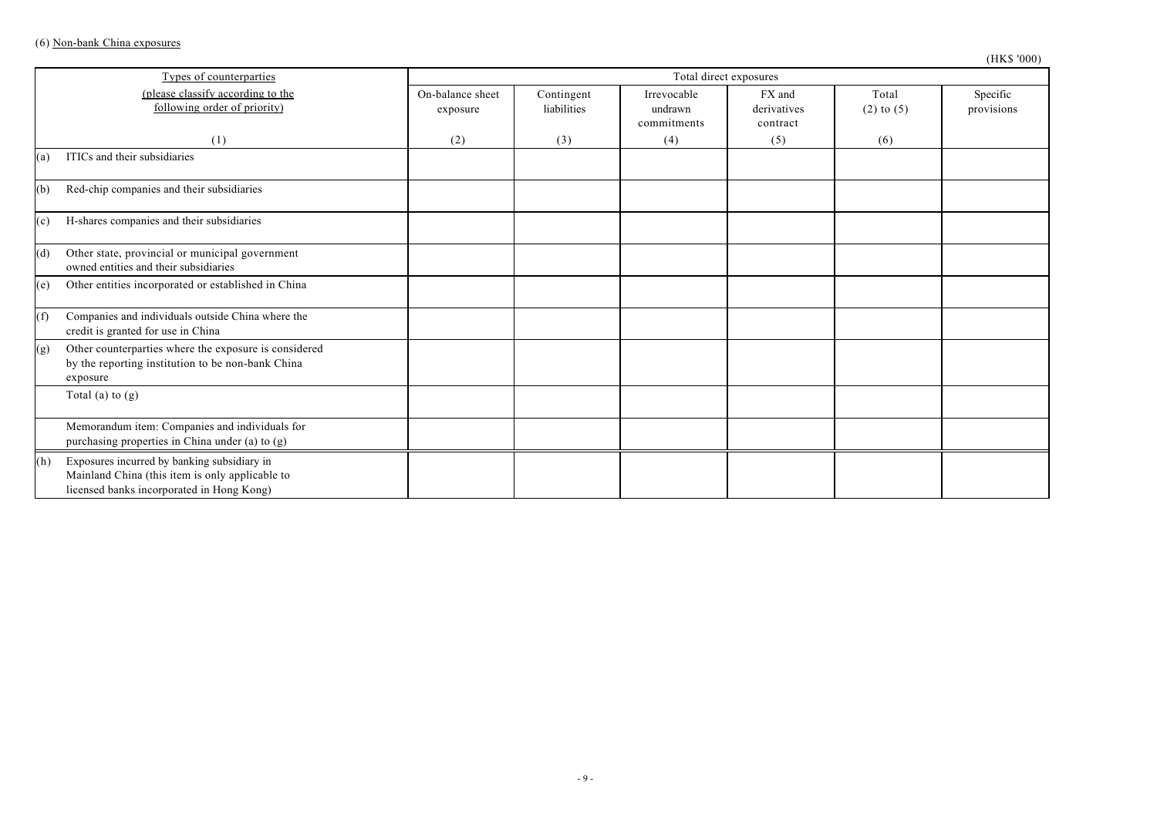|     | Types of counterparties                                                                                                                     | Total direct exposures       |                           |                                       |                                   |                         |                        |
|-----|---------------------------------------------------------------------------------------------------------------------------------------------|------------------------------|---------------------------|---------------------------------------|-----------------------------------|-------------------------|------------------------|
|     | (please classify according to the<br>following order of priority)                                                                           | On-balance sheet<br>exposure | Contingent<br>liabilities | Irrevocable<br>undrawn<br>commitments | FX and<br>derivatives<br>contract | Total<br>$(2)$ to $(5)$ | Specific<br>provisions |
|     | (1)                                                                                                                                         | (2)                          | (3)                       | (4)                                   | (5)                               | (6)                     |                        |
| (a) | ITICs and their subsidiaries                                                                                                                |                              |                           |                                       |                                   |                         |                        |
| (b) | Red-chip companies and their subsidiaries                                                                                                   |                              |                           |                                       |                                   |                         |                        |
| (c) | H-shares companies and their subsidiaries                                                                                                   |                              |                           |                                       |                                   |                         |                        |
| (d) | Other state, provincial or municipal government<br>owned entities and their subsidiaries                                                    |                              |                           |                                       |                                   |                         |                        |
| (e) | Other entities incorporated or established in China                                                                                         |                              |                           |                                       |                                   |                         |                        |
| (f) | Companies and individuals outside China where the<br>credit is granted for use in China                                                     |                              |                           |                                       |                                   |                         |                        |
| (g) | Other counterparties where the exposure is considered<br>by the reporting institution to be non-bank China<br>exposure                      |                              |                           |                                       |                                   |                         |                        |
|     | Total (a) to $(g)$                                                                                                                          |                              |                           |                                       |                                   |                         |                        |
|     | Memorandum item: Companies and individuals for<br>purchasing properties in China under (a) to (g)                                           |                              |                           |                                       |                                   |                         |                        |
| (h) | Exposures incurred by banking subsidiary in<br>Mainland China (this item is only applicable to<br>licensed banks incorporated in Hong Kong) |                              |                           |                                       |                                   |                         |                        |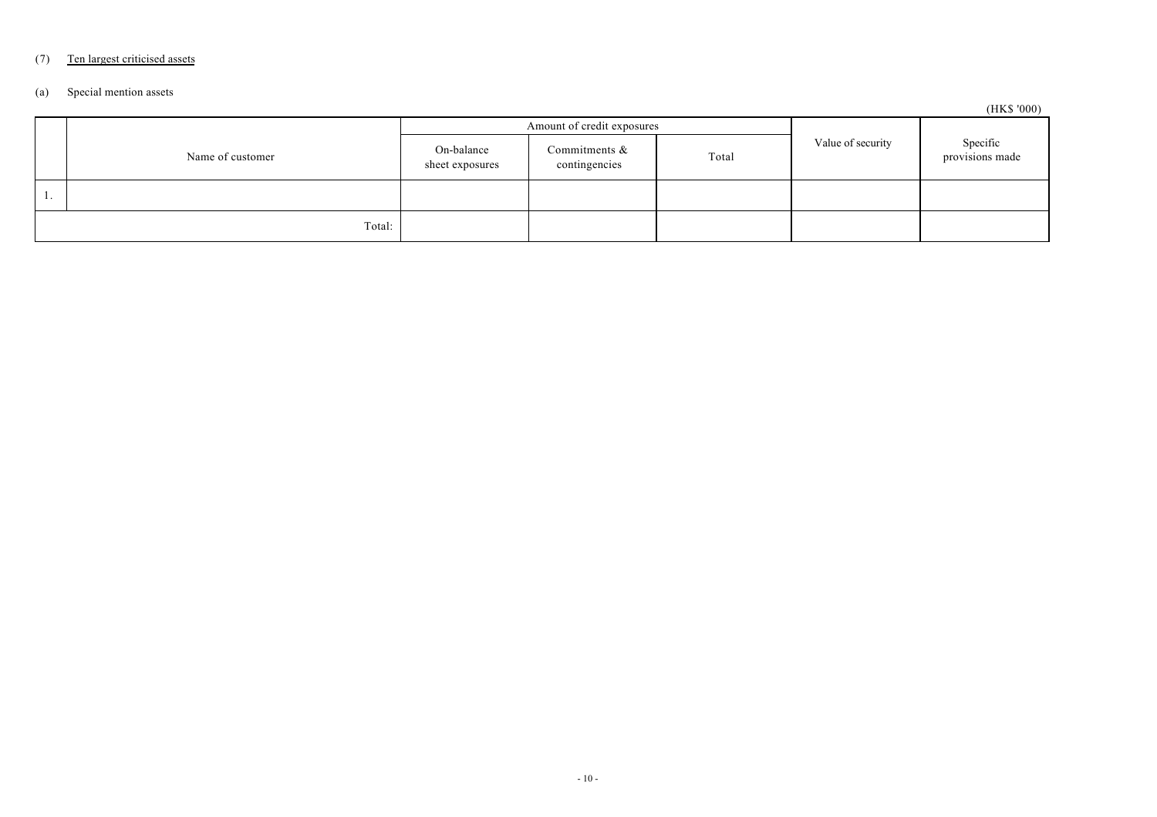# (7) Ten largest criticised assets

## (a) Special mention assets

(HK\$ '000)

|   |                  | Amount of credit exposures    |                                |       |                   | $(2.224 \times 0.00)$       |
|---|------------------|-------------------------------|--------------------------------|-------|-------------------|-----------------------------|
|   | Name of customer | On-balance<br>sheet exposures | Commitments &<br>contingencies | Total | Value of security | Specific<br>provisions made |
| . |                  |                               |                                |       |                   |                             |
|   | Total:           |                               |                                |       |                   |                             |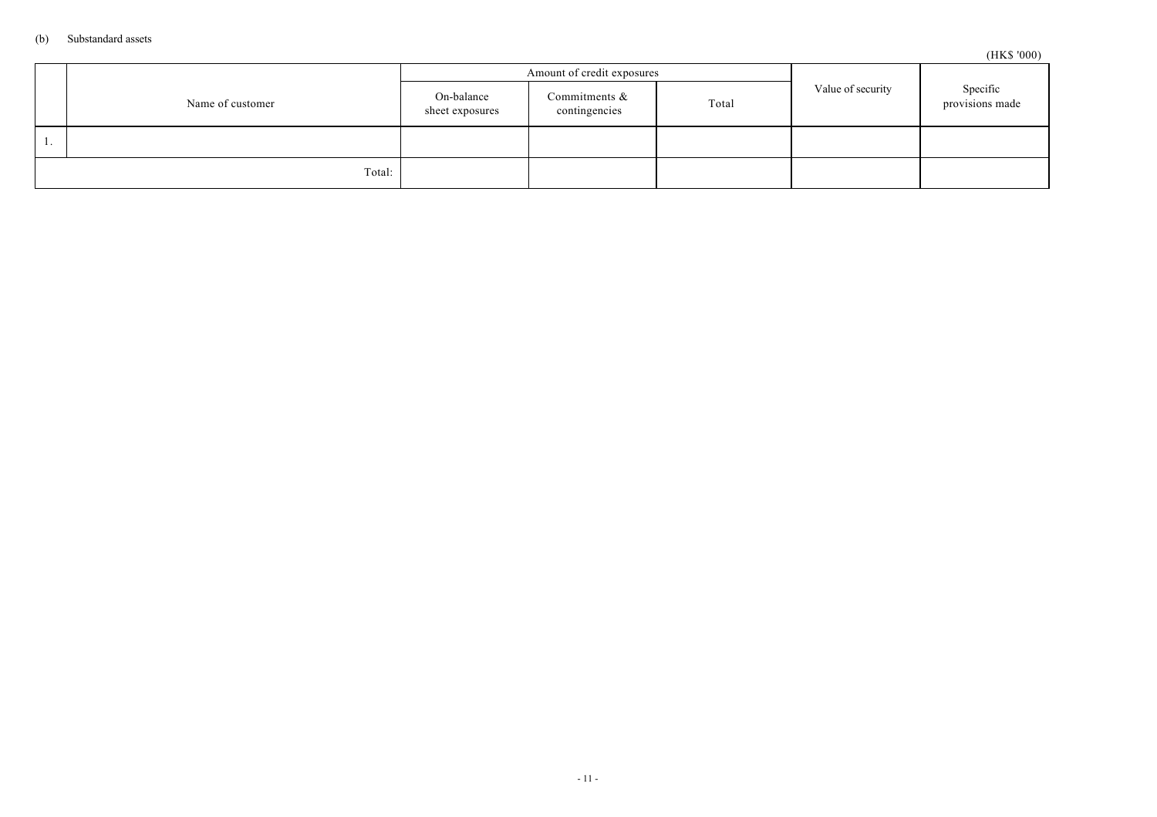|                  |                               | Amount of credit exposures        |       |                   |                             |
|------------------|-------------------------------|-----------------------------------|-------|-------------------|-----------------------------|
| Name of customer | On-balance<br>sheet exposures | Commitments $\&$<br>contingencies | Total | Value of security | Specific<br>provisions made |
|                  |                               |                                   |       |                   |                             |
| Total:           |                               |                                   |       |                   |                             |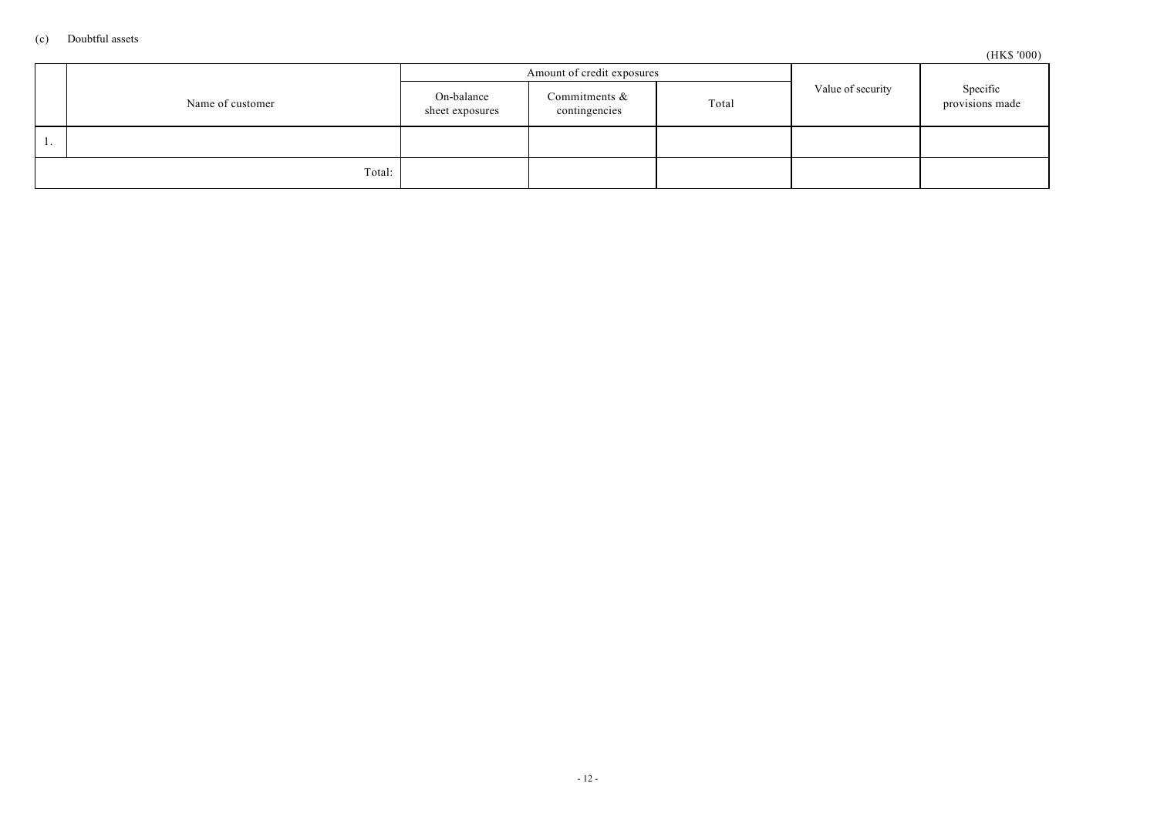```
(HK$ '000)
```

|                  |                               | Amount of credit exposures        |       |                   |                             |
|------------------|-------------------------------|-----------------------------------|-------|-------------------|-----------------------------|
| Name of customer | On-balance<br>sheet exposures | Commitments $\&$<br>contingencies | Total | Value of security | Specific<br>provisions made |
|                  |                               |                                   |       |                   |                             |
| Total:           |                               |                                   |       |                   |                             |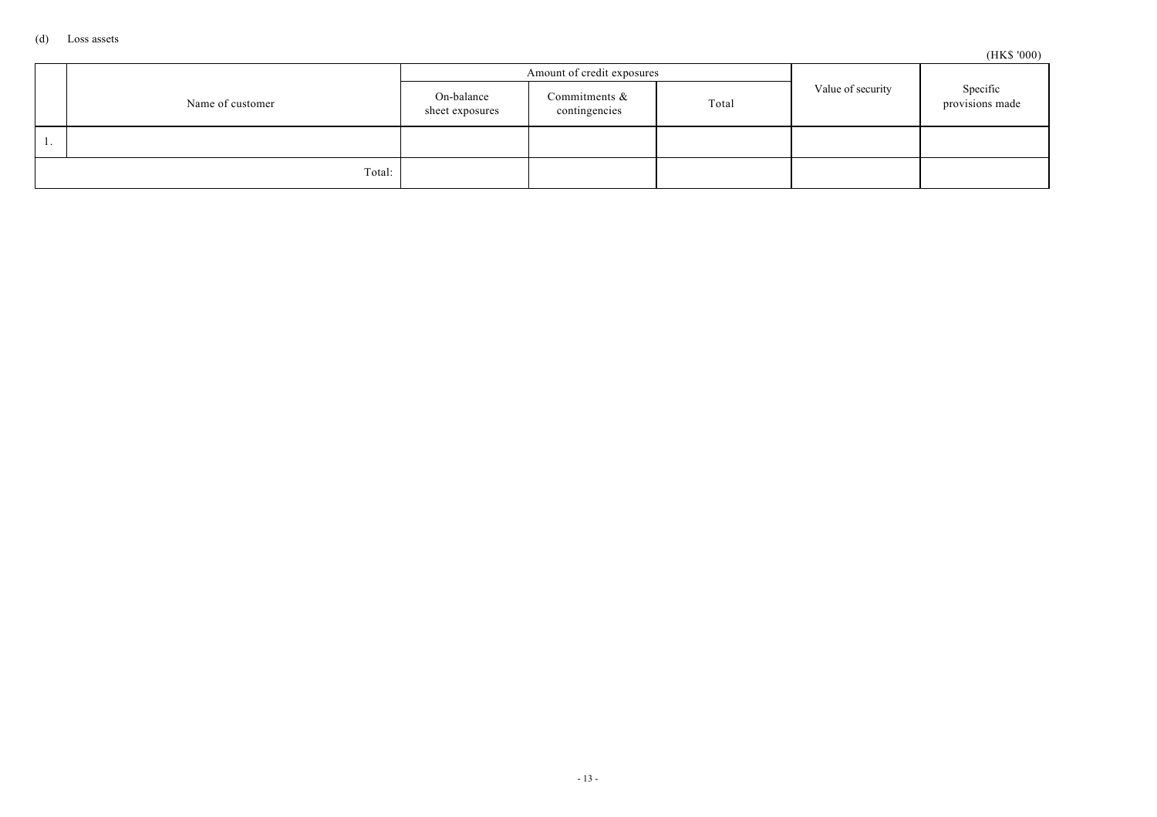```
(HK$ '000)
```

|                  |                               | Amount of credit exposures        |       |                   |                             |
|------------------|-------------------------------|-----------------------------------|-------|-------------------|-----------------------------|
| Name of customer | On-balance<br>sheet exposures | Commitments $\&$<br>contingencies | Total | Value of security | Specific<br>provisions made |
|                  |                               |                                   |       |                   |                             |
| Total:           |                               |                                   |       |                   |                             |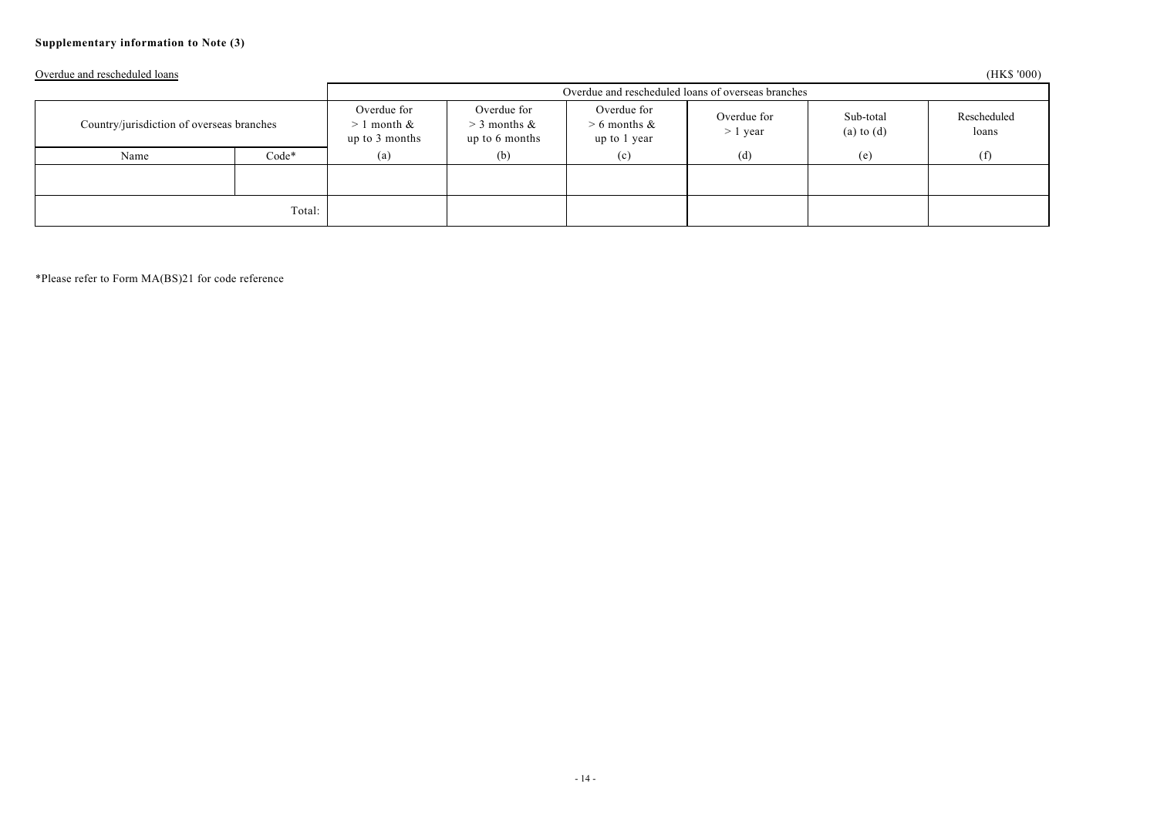## **Supplementary information to Note (3)**

Overdue and rescheduled loans (HK\$ '000)

|                                           |         | Overdue and rescheduled loans of overseas branches |                                                 |                                               |                           |                             |                      |
|-------------------------------------------|---------|----------------------------------------------------|-------------------------------------------------|-----------------------------------------------|---------------------------|-----------------------------|----------------------|
| Country/jurisdiction of overseas branches |         | Overdue for<br>l month &<br>><br>up to 3 months    | Overdue for<br>$>$ 3 months &<br>up to 6 months | Overdue for<br>$> 6$ months &<br>up to 1 year | Overdue for<br>$> 1$ year | Sub-total<br>$(a)$ to $(d)$ | Rescheduled<br>loans |
| Name                                      | $Code*$ | (a)                                                | (b)                                             | (c)                                           | (d)                       | (e)                         | (f)                  |
|                                           |         |                                                    |                                                 |                                               |                           |                             |                      |
| Total:                                    |         |                                                    |                                                 |                                               |                           |                             |                      |

\*Please refer to Form MA(BS)21 for code reference